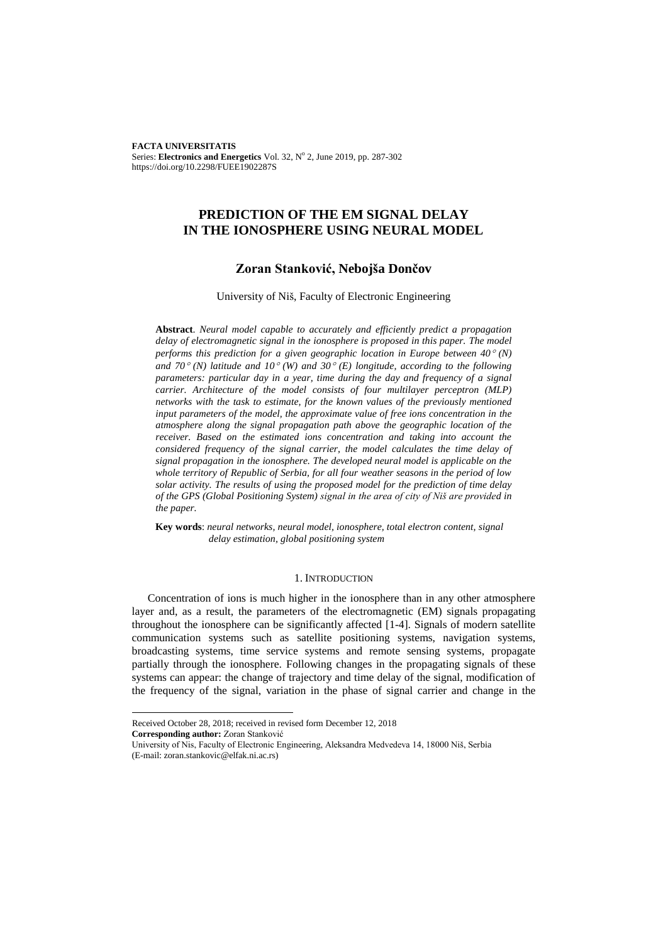**FACTA UNIVERSITATIS** Series: Electronics and Energetics Vol. 32, Nº 2, June 2019, pp. 287-302 https://doi.org/10.2298/FUEE1902287S

# **PREDICTION OF THE EM SIGNAL DELAY IN THE IONOSPHERE USING NEURAL MODEL**

### **Zoran Stanković, Nebojša Dončov**

### University of Niš, Faculty of Electronic Engineering

**Abstract**. *Neural model capable to accurately and efficiently predict a propagation delay of electromagnetic signal in the ionosphere is proposed in this paper. The model performs this prediction for a given geographic location in Europe between 40 (N)*  and  $70^{\circ}$  *(N) latitude and*  $10^{\circ}$  *(W) and*  $30^{\circ}$  *<i>(E) longitude, according to the following parameters: particular day in a year, time during the day and frequency of a signal carrier. Architecture of the model consists of four multilayer perceptron (MLP) networks with the task to estimate, for the known values of the previously mentioned input parameters of the model, the approximate value of free ions concentration in the atmosphere along the signal propagation path above the geographic location of the receiver. Based on the estimated ions concentration and taking into account the considered frequency of the signal carrier, the model calculates the time delay of signal propagation in the ionosphere. The developed neural model is applicable on the whole territory of Republic of Serbia, for all four weather seasons in the period of low solar activity. The results of using the proposed model for the prediction of time delay of the GPS (Global Positioning System) signal in the area of city of Niš are provided in the paper.*

**Key words**: *neural networks, neural model, ionosphere, total electron content, signal delay estimation, global positioning system* 

### 1. INTRODUCTION

Concentration of ions is much higher in the ionosphere than in any other atmosphere layer and, as a result, the parameters of the electromagnetic (EM) signals propagating throughout the ionosphere can be significantly affected [1-4]. Signals of modern satellite communication systems such as satellite positioning systems, navigation systems, broadcasting systems, time service systems and remote sensing systems, propagate partially through the ionosphere. Following changes in the propagating signals of these systems can appear: the change of trajectory and time delay of the signal, modification of the frequency of the signal, variation in the phase of signal carrier and change in the

l

Received October 28, 2018; received in revised form December 12, 2018

**Corresponding author:** Zoran Stanković

University of Nis, Faculty of Electronic Engineering, Aleksandra Medvedeva 14, 18000 Niš, Serbia (E-mail: zoran.stankovic@elfak.ni.ac.rs)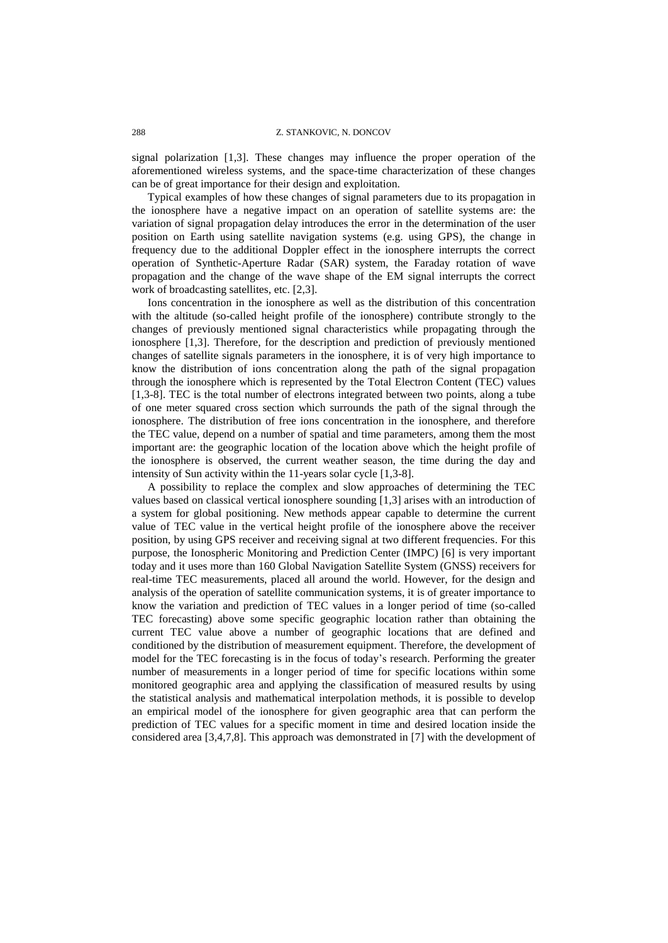signal polarization [1,3]. These changes may influence the proper operation of the aforementioned wireless systems, and the space-time characterization of these changes can be of great importance for their design and exploitation.

Typical examples of how these changes of signal parameters due to its propagation in the ionosphere have a negative impact on an operation of satellite systems are: the variation of signal propagation delay introduces the error in the determination of the user position on Earth using satellite navigation systems (e.g. using GPS), the change in frequency due to the additional Doppler effect in the ionosphere interrupts the correct operation of Synthetic-Aperture Radar (SAR) system, the Faraday rotation of wave propagation and the change of the wave shape of the EM signal interrupts the correct work of broadcasting satellites, etc. [2,3].

Ions concentration in the ionosphere as well as the distribution of this concentration with the altitude (so-called height profile of the ionosphere) contribute strongly to the changes of previously mentioned signal characteristics while propagating through the ionosphere [1,3]. Therefore, for the description and prediction of previously mentioned changes of satellite signals parameters in the ionosphere, it is of very high importance to know the distribution of ions concentration along the path of the signal propagation through the ionosphere which is represented by the Total Electron Content (TEC) values [1,3-8]. TEC is the total number of electrons integrated between two points, along a tube of one meter squared cross section which surrounds the path of the signal through the ionosphere. The distribution of free ions concentration in the ionosphere, and therefore the TEC value, depend on a number of spatial and time parameters, among them the most important are: the geographic location of the location above which the height profile of the ionosphere is observed, the current weather season, the time during the day and intensity of Sun activity within the 11-years solar cycle [1,3-8].

A possibility to replace the complex and slow approaches of determining the TEC values based on classical vertical ionosphere sounding [1,3] arises with an introduction of a system for global positioning. New methods appear capable to determine the current value of TEC value in the vertical height profile of the ionosphere above the receiver position, by using GPS receiver and receiving signal at two different frequencies. For this purpose, the Ionospheric Monitoring and Prediction Center (IMPC) [6] is very important today and it uses more than 160 Global Navigation Satellite System (GNSS) receivers for real-time TEC measurements, placed all around the world. However, for the design and analysis of the operation of satellite communication systems, it is of greater importance to know the variation and prediction of TEC values in a longer period of time (so-called TEC forecasting) above some specific geographic location rather than obtaining the current TEC value above a number of geographic locations that are defined and conditioned by the distribution of measurement equipment. Therefore, the development of model for the TEC forecasting is in the focus of today's research. Performing the greater number of measurements in a longer period of time for specific locations within some monitored geographic area and applying the classification of measured results by using the statistical analysis and mathematical interpolation methods, it is possible to develop an empirical model of the ionosphere for given geographic area that can perform the prediction of TEC values for a specific moment in time and desired location inside the considered area [3,4,7,8]. This approach was demonstrated in [7] with the development of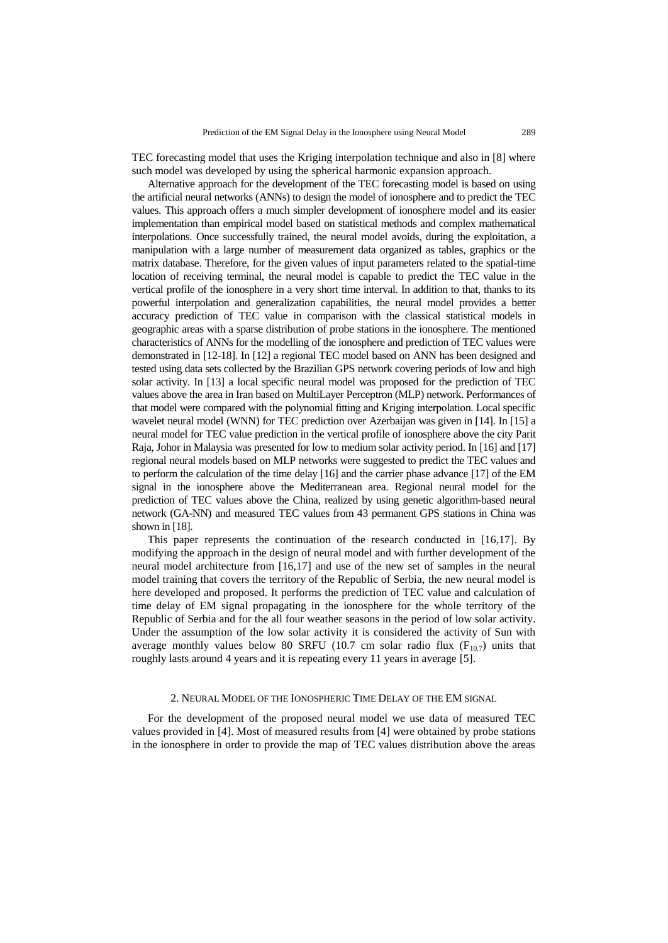TEC forecasting model that uses the Kriging interpolation technique and also in [8] where such model was developed by using the spherical harmonic expansion approach.

Alternative approach for the development of the TEC forecasting model is based on using the artificial neural networks (ANNs) to design the model of ionosphere and to predict the TEC values. This approach offers a much simpler development of ionosphere model and its easier implementation than empirical model based on statistical methods and complex mathematical interpolations. Once successfully trained, the neural model avoids, during the exploitation, a manipulation with a large number of measurement data organized as tables, graphics or the matrix database. Therefore, for the given values of input parameters related to the spatial-time location of receiving terminal, the neural model is capable to predict the TEC value in the vertical profile of the ionosphere in a very short time interval. In addition to that, thanks to its powerful interpolation and generalization capabilities, the neural model provides a better accuracy prediction of TEC value in comparison with the classical statistical models in geographic areas with a sparse distribution of probe stations in the ionosphere. The mentioned characteristics of ANNs for the modelling of the ionosphere and prediction of TEC values were demonstrated in [12-18]. In [12] a regional TEC model based on ANN has been designed and tested using data sets collected by the Brazilian GPS network covering periods of low and high solar activity. In [13] a local specific neural model was proposed for the prediction of TEC values above the area in Iran based on MultiLayer Perceptron (MLP) network. Performances of that model were compared with the polynomial fitting and Kriging interpolation. Local specific wavelet neural model (WNN) for TEC prediction over Azerbaijan was given in [14]. In [15] a neural model for TEC value prediction in the vertical profile of ionosphere above the city Parit Raja, Johor in Malaysia was presented for low to medium solar activity period. In [16] and [17] regional neural models based on MLP networks were suggested to predict the TEC values and to perform the calculation of the time delay [16] and the carrier phase advance [17] of the EM signal in the ionosphere above the Mediterranean area. Regional neural model for the prediction of TEC values above the China, realized by using genetic algorithm-based neural network (GA-NN) and measured TEC values from 43 permanent GPS stations in China was shown in [18].

This paper represents the continuation of the research conducted in [16,17]. By modifying the approach in the design of neural model and with further development of the neural model architecture from [16,17] and use of the new set of samples in the neural model training that covers the territory of the Republic of Serbia, the new neural model is here developed and proposed. It performs the prediction of TEC value and calculation of time delay of EM signal propagating in the ionosphere for the whole territory of the Republic of Serbia and for the all four weather seasons in the period of low solar activity. Under the assumption of the low solar activity it is considered the activity of Sun with average monthly values below 80 SRFU (10.7 cm solar radio flux  $(F_{10.7})$  units that roughly lasts around 4 years and it is repeating every 11 years in average [5].

### 2. NEURAL MODEL OF THE IONOSPHERIC TIME DELAY OF THE EM SIGNAL

For the development of the proposed neural model we use data of measured TEC values provided in [4]. Most of measured results from [4] were obtained by probe stations in the ionosphere in order to provide the map of TEC values distribution above the areas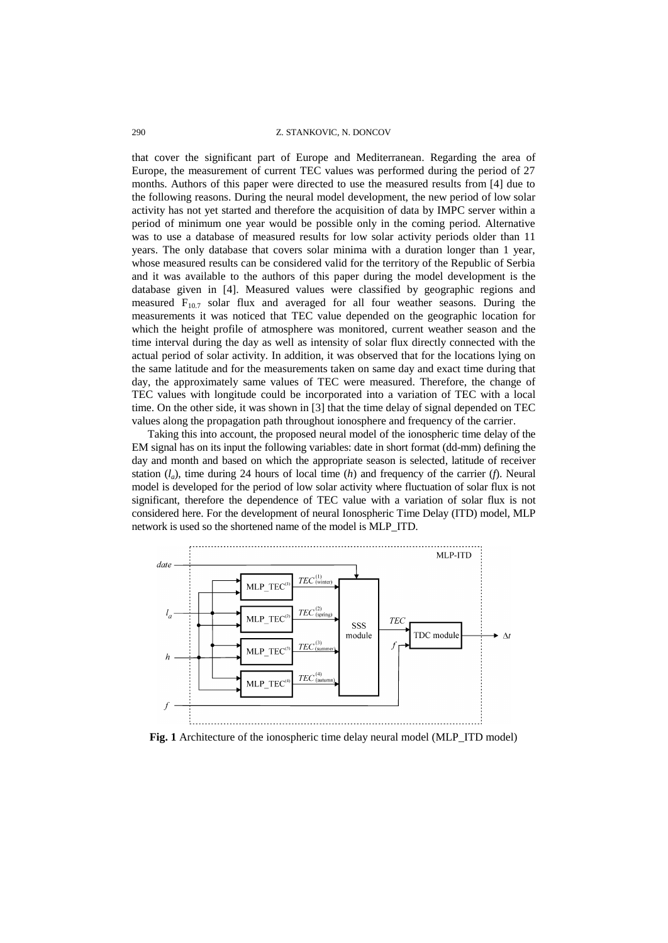#### 290 Z. STANKOVIC, N. DONCOV

that cover the significant part of Europe and Mediterranean. Regarding the area of Europe, the measurement of current TEC values was performed during the period of 27 months. Authors of this paper were directed to use the measured results from [4] due to the following reasons. During the neural model development, the new period of low solar activity has not yet started and therefore the acquisition of data by IMPC server within a period of minimum one year would be possible only in the coming period. Alternative was to use a database of measured results for low solar activity periods older than 11 years. The only database that covers solar minima with a duration longer than 1 year, whose measured results can be considered valid for the territory of the Republic of Serbia and it was available to the authors of this paper during the model development is the database given in [4]. Measured values were classified by geographic regions and measured  $F_{10.7}$  solar flux and averaged for all four weather seasons. During the measurements it was noticed that TEC value depended on the geographic location for which the height profile of atmosphere was monitored, current weather season and the time interval during the day as well as intensity of solar flux directly connected with the actual period of solar activity. In addition, it was observed that for the locations lying on the same latitude and for the measurements taken on same day and exact time during that day, the approximately same values of TEC were measured. Therefore, the change of TEC values with longitude could be incorporated into a variation of TEC with a local time. On the other side, it was shown in [3] that the time delay of signal depended on TEC values along the propagation path throughout ionosphere and frequency of the carrier.

Taking this into account, the proposed neural model of the ionospheric time delay of the EM signal has on its input the following variables: date in short format (dd-mm) defining the day and month and based on which the appropriate season is selected, latitude of receiver station  $(l_a)$ , time during 24 hours of local time  $(h)$  and frequency of the carrier  $(f)$ . Neural model is developed for the period of low solar activity where fluctuation of solar flux is not significant, therefore the dependence of TEC value with a variation of solar flux is not considered here. For the development of neural Ionospheric Time Delay (ITD) model, MLP network is used so the shortened name of the model is MLP\_ITD.



**Fig. 1** Architecture of the ionospheric time delay neural model (MLP\_ITD model)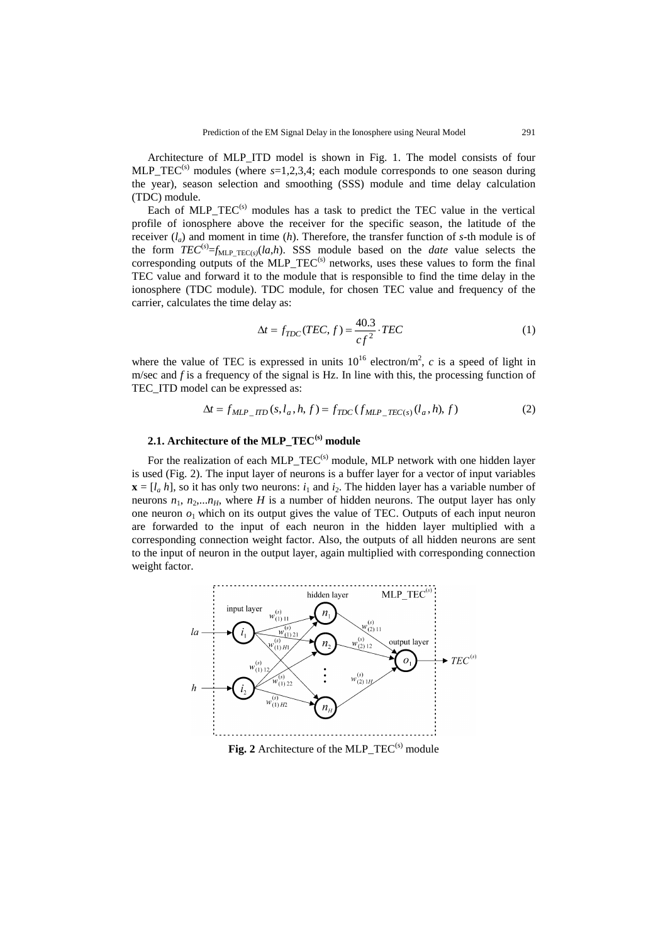Architecture of MLP ITD model is shown in Fig. 1. The model consists of four MLP\_TEC<sup>(s)</sup> modules (where  $s=1,2,3,4$ ; each module corresponds to one season during the year), season selection and smoothing (SSS) module and time delay calculation (TDC) module.

Each of MLP  $TEC^{(s)}$  modules has a task to predict the TEC value in the vertical profile of ionosphere above the receiver for the specific season, the latitude of the receiver (*la*) and moment in time (*h*). Therefore, the transfer function of *s*-th module is of the form  $TEC^{(s)} = f_{MLP\_TEC(s)}(la, h)$ . SSS module based on the *date* value selects the corresponding outputs of the MLP\_TEC<sup>(s)</sup> networks, uses these values to form the final TEC value and forward it to the module that is responsible to find the time delay in the ionosphere (TDC module). TDC module, for chosen TEC value and frequency of the carrier, calculates the time delay as:

$$
\Delta t = f_{TDC}(TEC, f) = \frac{40.3}{cf^2} \cdot TEC
$$
 (1)

where the value of TEC is expressed in units  $10^{16}$  electron/m<sup>2</sup>, c is a speed of light in m/sec and *f* is a frequency of the signal is Hz. In line with this, the processing function of TEC ITD model can be expressed as:

$$
\Delta t = f_{MLP\_ITD}(s, l_a, h, f) = f_{TDC}(f_{MLP\_TEC(s)}(l_a, h), f)
$$
\n(2)

### **2.1. Architecture of the MLP\_TEC(s) module**

For the realization of each MLP  $TEC^{(s)}$  module, MLP network with one hidden layer is used (Fig. 2). The input layer of neurons is a buffer layer for a vector of input variables  $\mathbf{x} = [l_a, h]$ , so it has only two neurons:  $i_1$  and  $i_2$ . The hidden layer has a variable number of neurons  $n_1$ ,  $n_2$ ,... $n_H$ , where *H* is a number of hidden neurons. The output layer has only one neuron  $o_1$  which on its output gives the value of TEC. Outputs of each input neuron are forwarded to the input of each neuron in the hidden layer multiplied with a corresponding connection weight factor. Also, the outputs of all hidden neurons are sent to the input of neuron in the output layer, again multiplied with corresponding connection weight factor.



Fig. 2 Architecture of the MLP\_TEC<sup>(s)</sup> module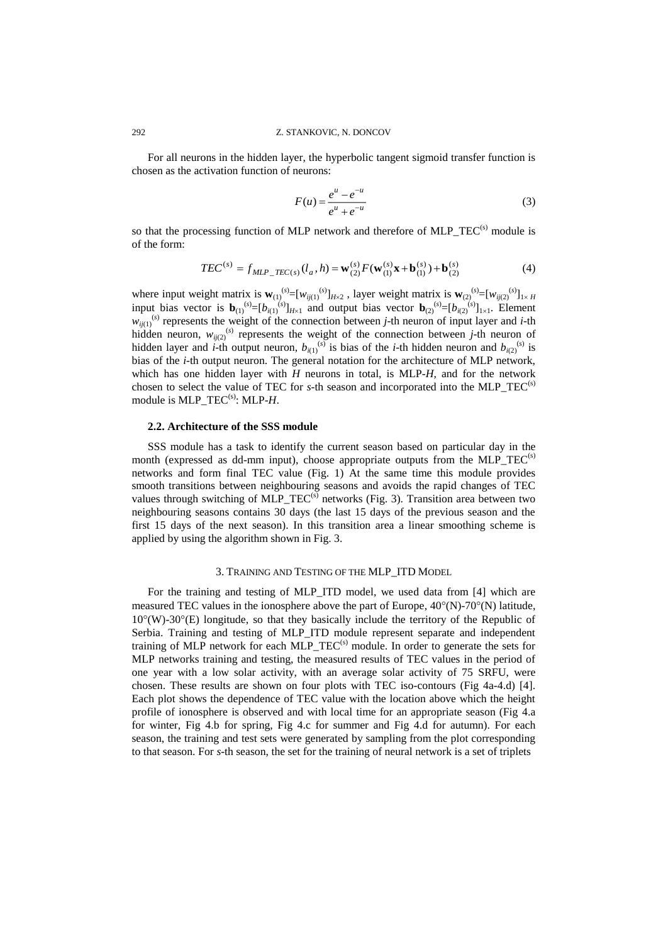For all neurons in the hidden layer, the hyperbolic tangent sigmoid transfer function is chosen as the activation function of neurons:

$$
F(u) = \frac{e^u - e^{-u}}{e^u + e^{-u}}
$$
 (3)

so that the processing function of MLP network and therefore of MLP  $TEC<sup>(s)</sup>$  module is of the form:

$$
TEC^{(s)} = f_{MLP\_TEC(s)}(l_a, h) = \mathbf{w}_{(2)}^{(s)} F(\mathbf{w}_{(1)}^{(s)} \mathbf{x} + \mathbf{b}_{(1)}^{(s)}) + \mathbf{b}_{(2)}^{(s)}
$$
(4)

where input weight matrix is  $\mathbf{w}_{(1)}^{(s)} = [w_{ij(1)}^{(s)}]_{H \times 2}$ , layer weight matrix is  $\mathbf{w}_{(2)}^{(s)} = [w_{ij(2)}^{(s)}]_{1 \times H}$ input bias vector is  $\mathbf{b}_{(1)}^{(s)} = [b_{i(1)}^{(s)}]_{H \times 1}$  and output bias vector  $\mathbf{b}_{(2)}^{(s)} = [b_{i(2)}^{(s)}]_{1 \times 1}$ . Element  $w_{i}(i)}$ <sup>(s)</sup> represents the weight of the connection between *j*-th neuron of input layer and *i*-th hidden neuron,  $w_{ij(2)}^{(s)}$  represents the weight of the connection between *j*-th neuron of hidden layer and *i*-th output neuron,  $b_{i(1)}^{(s)}$  is bias of the *i*-th hidden neuron and  $b_{i(2)}^{(s)}$  is bias of the *i*-th output neuron. The general notation for the architecture of MLP network, which has one hidden layer with *H* neurons in total, is MLP-*H*, and for the network chosen to select the value of TEC for *s*-th season and incorporated into the MLP TEC<sup>(s)</sup> module is MLP TEC<sup>(s)</sup>: MLP-*H*.

### **2.2. Architecture of the SSS module**

SSS module has a task to identify the current season based on particular day in the month (expressed as dd-mm input), choose appropriate outputs from the  $MLP\_TEC^{(s)}$ networks and form final TEC value (Fig. 1) At the same time this module provides smooth transitions between neighbouring seasons and avoids the rapid changes of TEC values through switching of MLP  $TEC^{(s)}$  networks (Fig. 3). Transition area between two neighbouring seasons contains 30 days (the last 15 days of the previous season and the first 15 days of the next season). In this transition area a linear smoothing scheme is applied by using the algorithm shown in Fig. 3.

### 3. TRAINING AND TESTING OF THE MLP\_ITD MODEL

For the training and testing of MLP\_ITD model, we used data from [4] which are measured TEC values in the ionosphere above the part of Europe,  $40^{\circ}$ (N)-70°(N) latitude,  $10^{\circ}$ (W)-30°(E) longitude, so that they basically include the territory of the Republic of Serbia. Training and testing of MLP\_ITD\_module represent separate and independent training of MLP network for each MLP  $TEC<sup>(s)</sup>$  module. In order to generate the sets for MLP networks training and testing, the measured results of TEC values in the period of one year with a low solar activity, with an average solar activity of 75 SRFU, were chosen. These results are shown on four plots with TEC iso-contours (Fig 4a-4.d) [4]. Each plot shows the dependence of TEC value with the location above which the height profile of ionosphere is observed and with local time for an appropriate season (Fig 4.a for winter, Fig 4.b for spring, Fig 4.c for summer and Fig 4.d for autumn). For each season, the training and test sets were generated by sampling from the plot corresponding to that season. For *s*-th season, the set for the training of neural network is a set of triplets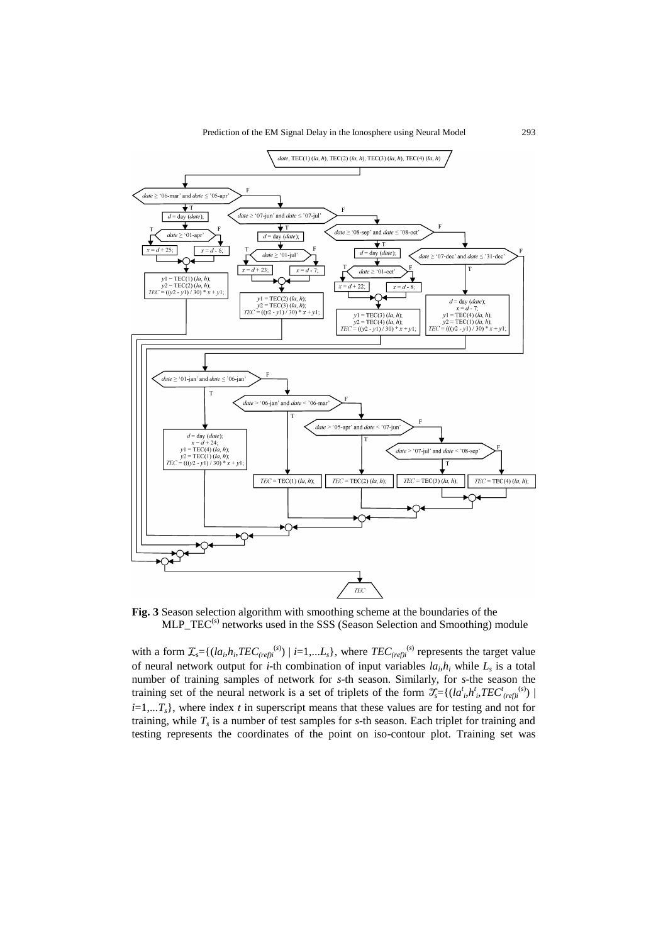

**Fig. 3** Season selection algorithm with smoothing scheme at the boundaries of the MLP\_TEC<sup>(s)</sup> networks used in the SSS (Season Selection and Smoothing) module

with a form  $\mathcal{I}_{s} = \{(la_{i}, h_{i}, TEC_{(ref)i}^{(s)}) \mid i=1,...L_{s}\},$  where  $TEC_{(ref)i}^{(s)}$  represents the target value of neural network output for *i*-th combination of input variables  $la_i, h_i$  while  $L_s$  is a total number of training samples of network for *s*-th season. Similarly, for *s*-the season the training set of the neural network is a set of triplets of the form  $\mathcal{I}_{s} = \{(la_{i}^{t}, h^{t}_{i}, TEC^{t}_{(ref)i}^{(s)}) |$  $i=1,...T_s$ , where index *t* in superscript means that these values are for testing and not for training, while *T<sup>s</sup>* is a number of test samples for *s*-th season. Each triplet for training and testing represents the coordinates of the point on iso-contour plot. Training set was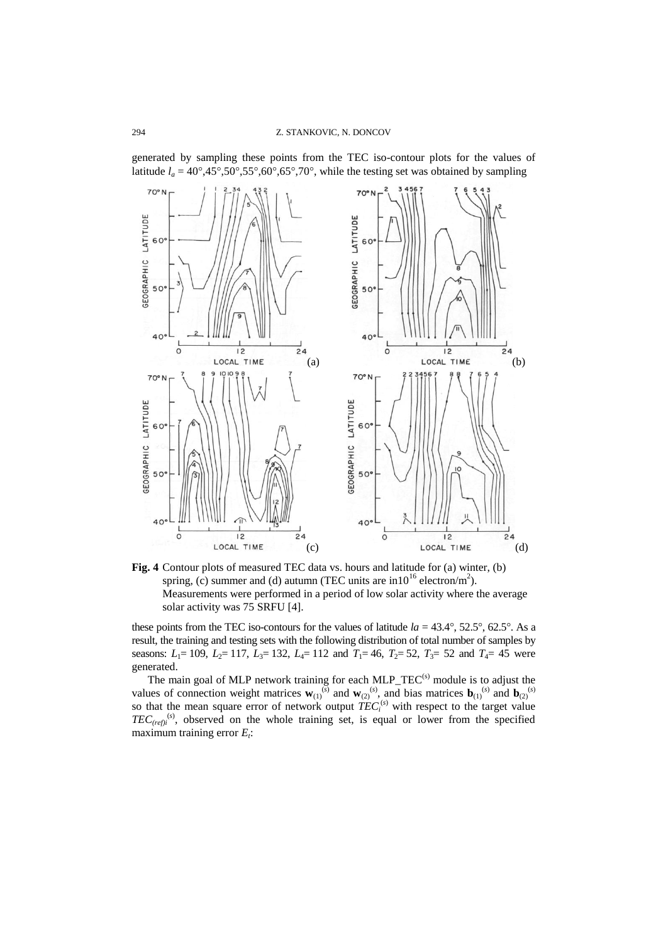generated by sampling these points from the TEC iso-contour plots for the values of latitude  $l_a = 40^\circ, 45^\circ, 50^\circ, 55^\circ, 60^\circ, 65^\circ, 70^\circ$ , while the testing set was obtained by sampling



**Fig. 4** Contour plots of measured TEC data vs. hours and latitude for (a) winter, (b) spring, (c) summer and (d) autumn (TEC units are in  $10^{16}$  electron/m<sup>2</sup>). Measurements were performed in a period of low solar activity where the average solar activity was 75 SRFU [4].

these points from the TEC iso-contours for the values of latitude  $la = 43.4^{\circ}$ , 52.5°, 62.5°. As a result, the training and testing sets with the following distribution of total number of samples by seasons:  $L_1 = 109$ ,  $L_2 = 117$ ,  $L_3 = 132$ ,  $L_4 = 112$  and  $T_1 = 46$ ,  $T_2 = 52$ ,  $T_3 = 52$  and  $T_4 = 45$  were generated.

The main goal of MLP network training for each MLP\_TEC<sup>(s)</sup> module is to adjust the values of connection weight matrices  $\mathbf{w}_{(1)}^{(s)}$  and  $\mathbf{w}_{(2)}^{(s)}$ , and bias matrices  $\mathbf{b}_{(1)}^{(s)}$  and  $\mathbf{b}_{(2)}^{(s)}$ so that the mean square error of network output  $TEC_i^{(s)}$  with respect to the target value  $TEC_{(ref)i}^{(s)}$ , observed on the whole training set, is equal or lower from the specified maximum training error *E<sup>t</sup>* :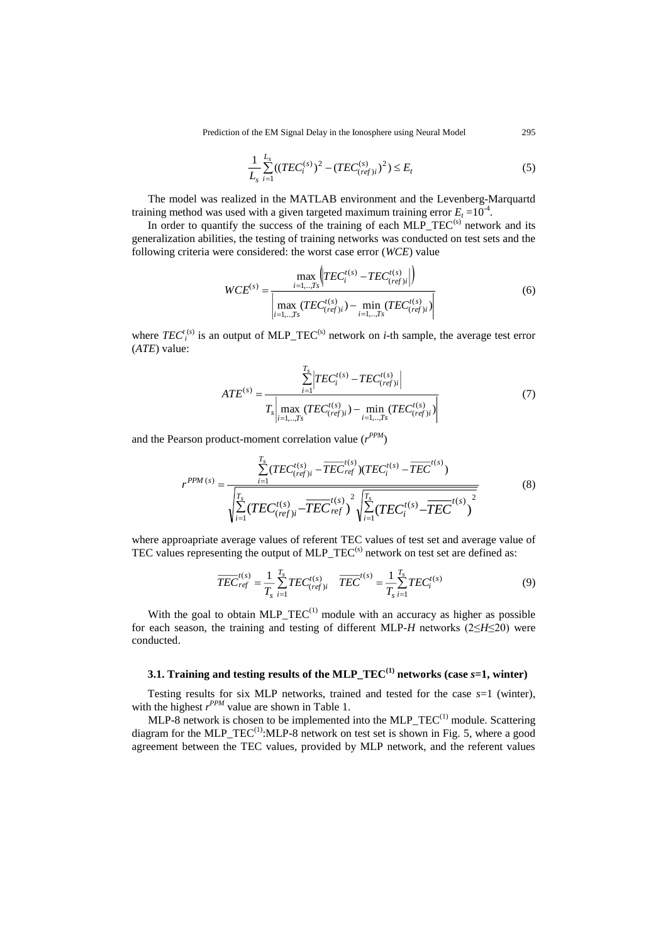$$
\frac{1}{L_s} \sum_{i=1}^{L_s} ((TEC_i^{(s)})^2 - (TEC_{(ref)i}^{(s)})^2) \le E_t
$$
\n(5)

The model was realized in the MATLAB environment and the Levenberg-Marquartd training method was used with a given targeted maximum training error  $E_t = 10^{-4}$ .

In order to quantify the success of the training of each  $MLP_TEC^{(s)}$  network and its generalization abilities, the testing of training networks was conducted on test sets and the following criteria were considered: the worst case error (*WCE*) value

$$
WCE^{(s)} = \frac{\max_{i=1,..,Ts} \left| TEC_i^{t(s)} - TEC_{(ref)i}^{t(s)} \right|)}{\left| \max_{i=1,..,Ts} (TEC_{(ref)i}^{t(s)}) - \min_{i=1,..,Ts} (TEC_{(ref)i}^{t(s)}) \right|} \tag{6}
$$

where  $TEC_i^{(s)}$  is an output of MLP\_TEC<sup>(s)</sup> network on *i*-th sample, the average test error (*ATE*) value:

$$
ATE^{(s)} = \frac{\sum_{i=1}^{T_s} \left| TEC_i^{t(s)} - TEC_{(ref)i}^{t(s)} \right|}{T_s \left| \max_{i=1,..,Ts} (TEC_{(ref)i}^{t(s)}) - \min_{i=1,..,Ts} (TEC_{(ref)i}^{t(s)}) \right|} \tag{7}
$$

and the Pearson product-moment correlation value  $(r^{PPM})$ 

$$
r^{PPM(s)} = \frac{\sum_{i=1}^{T_s} (TEC_{(ref)i}^{t(s)} - \overline{TEC}_{ref}^{t(s)}) (TEC_i^{t(s)} - \overline{TEC}^{t(s)})}{\sqrt{\sum_{i=1}^{T_s} (TEC_{(ref)i}^{t(s)} - \overline{TEC}^{t(s)})^2 \sqrt{\sum_{i=1}^{T_s} (TEC_i^{t(s)} - \overline{TEC}^{t(s)})^2}}
$$
(8)

where approapriate average values of referent TEC values of test set and average value of TEC values representing the output of MLP\_TEC<sup>(s)</sup> network on test set are defined as:

$$
\overline{TEC}_{ref}^{t(s)} = \frac{1}{T_s} \sum_{i=1}^{T_s} TEC_{(ref)i}^{t(s)} \quad \overline{TEC}^{t(s)} = \frac{1}{T_s} \sum_{i=1}^{T_s} TEC_i^{t(s)}
$$
(9)

With the goal to obtain  $MLP_TEC^{(1)}$  module with an accuracy as higher as possible for each season, the training and testing of different MLP-*H* networks (2≤*H*≤20) were conducted.

## **3.1. Training and testing results of the MLP\_TEC(1) networks (case** *s***=1, winter)**

Testing results for six MLP networks, trained and tested for the case *s*=1 (winter), with the highest  $r^{PPM}$  value are shown in Table 1.

MLP-8 network is chosen to be implemented into the MLP\_TEC<sup>(1)</sup> module. Scattering diagram for the MLP  $TEC^{(1)}$ :MLP-8 network on test set is shown in Fig. 5, where a good agreement between the TEC values, provided by MLP network, and the referent values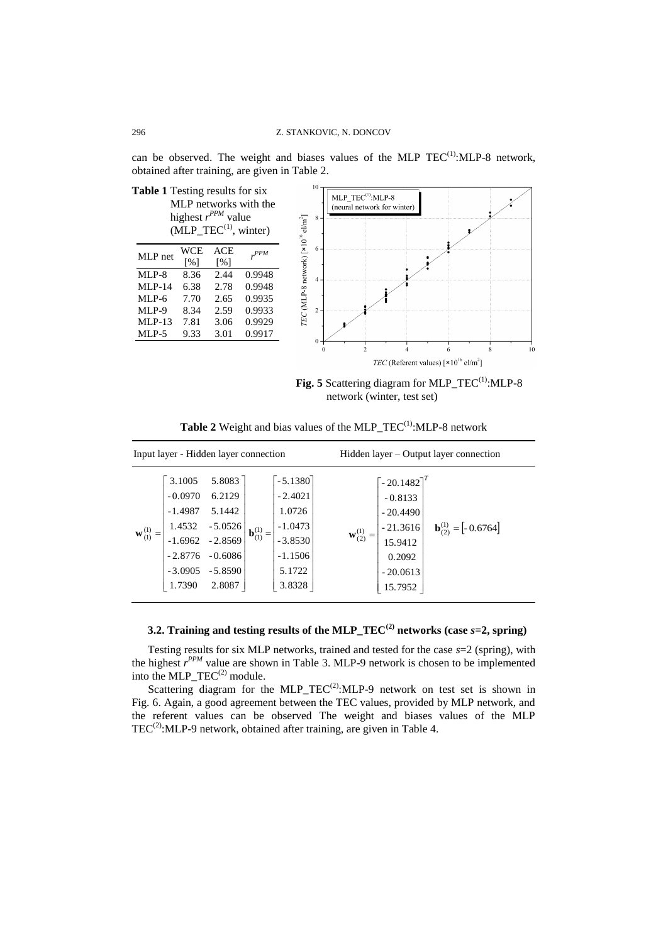can be observed. The weight and biases values of the MLP  $TEC^{(1)}$ : MLP-8 network, obtained after training, are given in Table 2.



Fig. 5 Scattering diagram for MLP\_TEC<sup>(1)</sup>:MLP-8 network (winter, test set)

| Input layer - Hidden layer connection |                                                                                             |                                                                                          |                       |                                                                                             | Hidden layer – Output layer connection                                                                                                                                   |  |  |
|---------------------------------------|---------------------------------------------------------------------------------------------|------------------------------------------------------------------------------------------|-----------------------|---------------------------------------------------------------------------------------------|--------------------------------------------------------------------------------------------------------------------------------------------------------------------------|--|--|
| $\mathbf{w}_{(1)}^{(1)}$              | 3.1005<br>$-0.0970$<br>$-1.4987$<br>1.4532<br>$-1.6962$<br>$-2.8776$<br>$-3.0905$<br>1.7390 | 5.8083<br>6.2129<br>5.1442<br>$-5.0526$<br>$-2.8569$<br>$-0.6086$<br>$-5.8590$<br>2.8087 | ${\bf b}_{(1)}^{(1)}$ | $-5.1380$<br>$-2.4021$<br>1.0726<br>$-1.0473$<br>$-3.8530$<br>$-1.1506$<br>5.1722<br>3.8328 | $\left[ -20.1482 \right]^{T}$<br>$-0.8133$<br>$-20.4490$<br>$b(2)(1) = [-0.6764]$<br>$-21.3616$<br>${\bf w}_{(2)}^{(1)} =$<br>15.9412<br>0.2092<br>$-20.0613$<br>15.7952 |  |  |

**Table 2** Weight and bias values of the MLP\_TEC<sup>(1)</sup>:MLP-8 network

### **3.2. Training and testing results of the MLP\_TEC(2) networks (case** *s***=2, spring)**

Testing results for six MLP networks, trained and tested for the case *s*=2 (spring), with the highest *r PPM* value are shown in Table 3. MLP-9 network is chosen to be implemented into the  $MLP_TEC^{(2)}$  module.

Scattering diagram for the MLP\_TEC<sup>(2)</sup>:MLP-9 network on test set is shown in Fig. 6. Again, a good agreement between the TEC values, provided by MLP network, and the referent values can be observed The weight and biases values of the MLP  $TEC<sup>(2)</sup>:MLP-9$  network, obtained after training, are given in Table 4.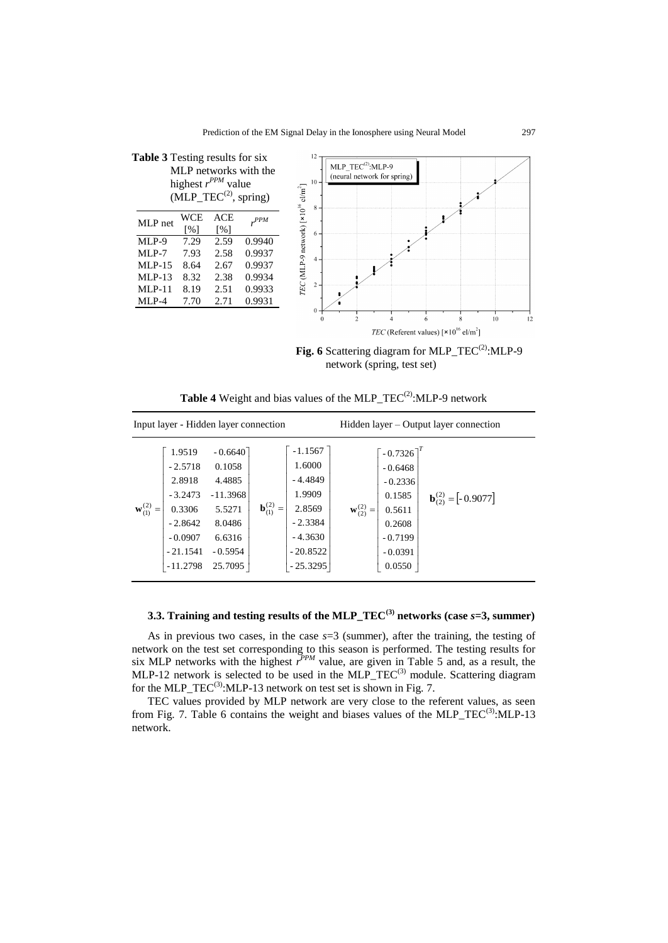

Fig. 6 Scattering diagram for MLP\_TEC<sup>(2)</sup>:MLP-9 network (spring, test set)

**Table 4** Weight and bias values of the MLP  $TEC^{(2)}$ :MLP-9 network

| Input layer - Hidden layer connection                                                                                               |                                                                                                   |                                                                                                                                       |                                                                                                                                                          | Hidden layer – Output layer connection |  |  |
|-------------------------------------------------------------------------------------------------------------------------------------|---------------------------------------------------------------------------------------------------|---------------------------------------------------------------------------------------------------------------------------------------|----------------------------------------------------------------------------------------------------------------------------------------------------------|----------------------------------------|--|--|
| 1.9519<br>$-2.5718$<br>2.8918<br>$-3.2473$<br>${\bf w}_{(1)}^{(2)}$<br>0.3306<br>$-2.8642$<br>$-0.0907$<br>$-21.1541$<br>$-11.2798$ | $-0.6640$<br>0.1058<br>4.4885<br>$-11.3968$<br>5.5271<br>8.0486<br>6.6316<br>$-0.5954$<br>25.7095 | $-1.1567$<br>1.6000<br>$-4.4849$<br>1.9909<br>${\bf b}_{(1)}^{(2)} =$<br>2.8569<br>$-2.3384$<br>$-4.3630$<br>$-20.8522$<br>$-25.3295$ | $\left[ -0.7326 \right]^{T}$<br>$-0.6468$<br>$-0.2336$<br>0.1585<br>${\bf w}_{(2)}^{(2)}$<br>0.5611<br>$=$<br>0.2608<br>$-0.7199$<br>$-0.0391$<br>0.0550 | $b(2)(2) = [-0.9077]$                  |  |  |

## **3.3. Training and testing results of the MLP\_TEC(3) networks (case** *s***=3, summer)**

As in previous two cases, in the case *s*=3 (summer), after the training, the testing of network on the test set corresponding to this season is performed. The testing results for six MLP networks with the highest  $r^{PPM}$  value, are given in Table 5 and, as a result, the MLP-12 network is selected to be used in the MLP\_TEC<sup>(3)</sup> module. Scattering diagram for the MLP\_TEC<sup>(3)</sup>:MLP-13 network on test set is shown in Fig. 7.

TEC values provided by MLP network are very close to the referent values, as seen from Fig. 7. Table 6 contains the weight and biases values of the MLP\_TEC<sup>(3)</sup>:MLP-13 network.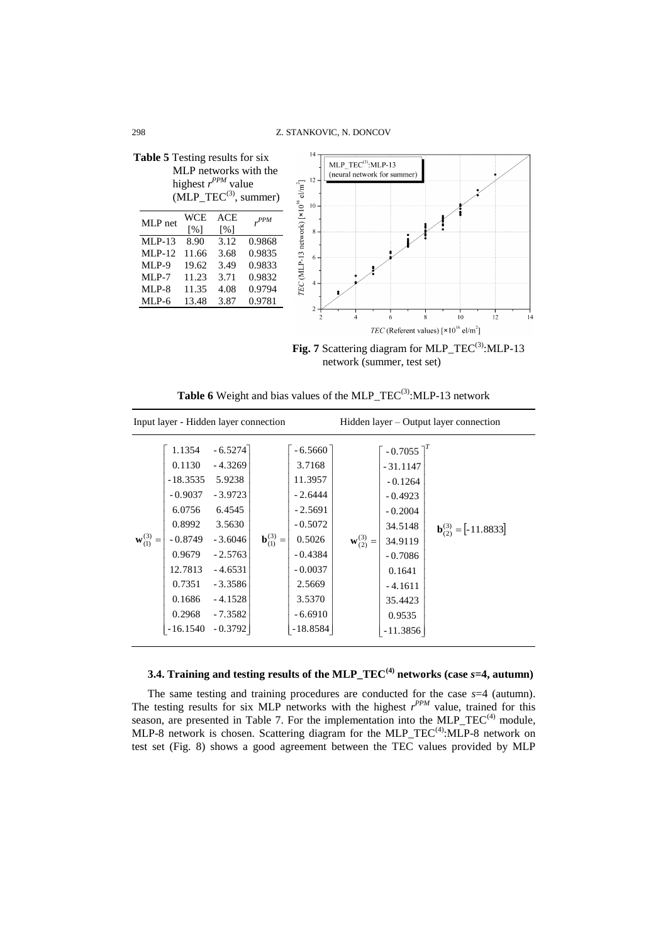

Fig. 7 Scattering diagram for MLP\_TEC<sup>(3)</sup>:MLP-13 network (summer, test set)

| Input layer - Hidden layer connection |                                                                                                                                               |                                                                                                                                                              |                         |                                                                                                                                                          | Hidden layer – Output layer connection |                                                                                                                                                                        |                        |
|---------------------------------------|-----------------------------------------------------------------------------------------------------------------------------------------------|--------------------------------------------------------------------------------------------------------------------------------------------------------------|-------------------------|----------------------------------------------------------------------------------------------------------------------------------------------------------|----------------------------------------|------------------------------------------------------------------------------------------------------------------------------------------------------------------------|------------------------|
| ${\bf w}_{(1)}^{(3)} =$               | 1.1354<br>0.1130<br>$-18.3535$<br>$-0.9037$<br>6.0756<br>0.8992<br>$-0.8749$<br>0.9679<br>12.7813<br>0.7351<br>0.1686<br>0.2968<br>$-16.1540$ | $-6.5274$<br>$-4.3269$<br>5.9238<br>$-3.9723$<br>6.4545<br>3.5630<br>$-3.6046$<br>$-2.5763$<br>$-4.6531$<br>$-3.3586$<br>$-4.1528$<br>$-7.3582$<br>$-0.3792$ | ${\bf b}_{(1)}^{(3)} =$ | $-6.5660$<br>3.7168<br>11.3957<br>$-2.6444$<br>$-2.5691$<br>$-0.5072$<br>0.5026<br>$-0.4384$<br>$-0.0037$<br>2.5669<br>3.5370<br>$-6.6910$<br>$-18.8584$ | ${\bf w}_{(2)}^{(3)} =$                | $-0.7055$ <sup>1</sup><br>$-31.1147$<br>$-0.1264$<br>$-0.4923$<br>$-0.2004$<br>34.5148<br>34.9119<br>$-0.7086$<br>0.1641<br>$-4.1611$<br>35.4423<br>0.9535<br>-11.3856 | $b(2)(3) = [-11.8833]$ |

Table 6 Weight and bias values of the MLP\_TEC<sup>(3)</sup>:MLP-13 network

# **3.4. Training and testing results of the MLP\_TEC(4) networks (case** *s***=4, autumn)**

The same testing and training procedures are conducted for the case *s*=4 (autumn). The testing results for six MLP networks with the highest  $r^{PPM}$  value, trained for this season, are presented in Table 7. For the implementation into the MLP  $TEC<sup>(4)</sup>$  module, MLP-8 network is chosen. Scattering diagram for the MLP\_TEC $(4)$ :MLP-8 network on test set (Fig. 8) shows a good agreement between the TEC values provided by MLP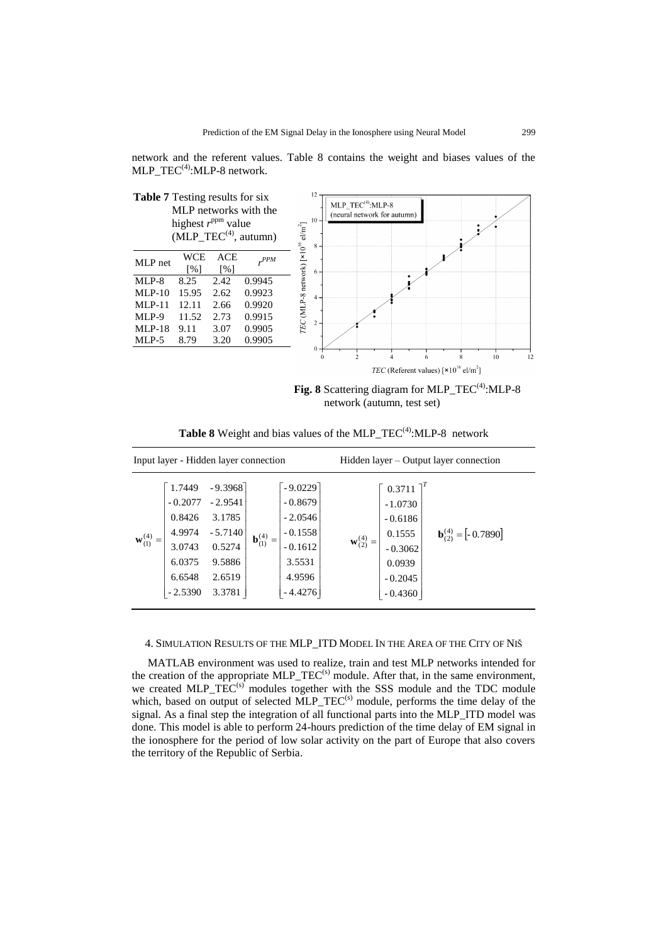network and the referent values. Table 8 contains the weight and biases values of the MLP  $TEC^{(4)}$ :MLP-8 network.



**Fig. 8** Scattering diagram for MLP\_TEC<sup>(4)</sup>:MLP-8 network (autumn, test set)

| Input layer - Hidden layer connection                                                                       |                                                                                       |                                   |                                                                                                | Hidden layer – Output layer connection |                                                                                                            |                       |
|-------------------------------------------------------------------------------------------------------------|---------------------------------------------------------------------------------------|-----------------------------------|------------------------------------------------------------------------------------------------|----------------------------------------|------------------------------------------------------------------------------------------------------------|-----------------------|
| 1.7449<br>$-0.2077$<br>0.8426<br>4.9974<br>${\bf w}_{(1)}^{(4)}$<br>3.0743<br>6.0375<br>6.6548<br>$-2.5390$ | $-9.3968$<br>$-2.9541$<br>3.1785<br>$-5.7140$<br>0.5274<br>9.5886<br>2.6519<br>3.3781 | ${\bf b}_{(1)}^{(4)}$<br>$\equiv$ | $-9.0229$<br>$-0.8679$<br>$-2.0546$<br>$-0.1558$<br>$-0.1612$<br>3.5531<br>4.9596<br>$-4.4276$ | ${\bf w}_{(2)}^{(4)}$                  | $0.3711$ <sup>1</sup><br>$-1.0730$<br>$-0.6186$<br>0.1555<br>$-0.3062$<br>0.0939<br>$-0.2045$<br>$-0.4360$ | $b(2)(4) = [-0.7890]$ |

**Table 8** Weight and bias values of the MLP\_TEC<sup>(4)</sup>:MLP-8 network

4. SIMULATION RESULTS OF THE MLP\_ITD MODEL IN THE AREA OF THE CITY OF NIŠ

MATLAB environment was used to realize, train and test MLP networks intended for the creation of the appropriate MLP\_TEC<sup>(s)</sup> module. After that, in the same environment, we created MLP\_TEC<sup>(s)</sup> modules together with the SSS module and the TDC module which, based on output of selected  $MLP_TEC^{(s)}$  module, performs the time delay of the signal. As a final step the integration of all functional parts into the MLP\_ITD model was done. This model is able to perform 24-hours prediction of the time delay of EM signal in the ionosphere for the period of low solar activity on the part of Europe that also covers the territory of the Republic of Serbia.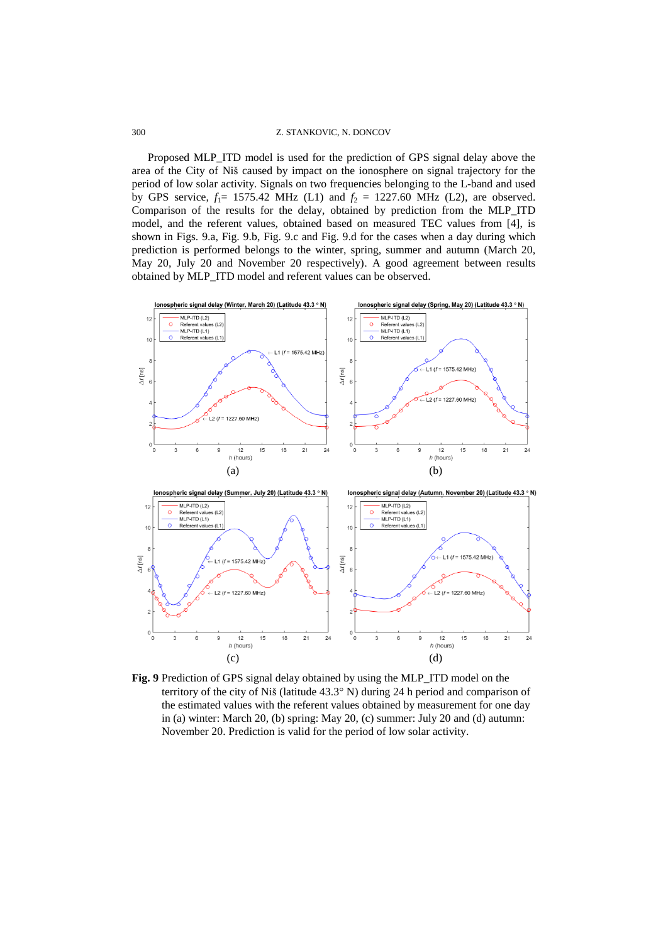#### 300 Z. STANKOVIC, N. DONCOV

Proposed MLP\_ITD model is used for the prediction of GPS signal delay above the area of the City of Niš caused by impact on the ionosphere on signal trajectory for the period of low solar activity. Signals on two frequencies belonging to the L-band and used by GPS service,  $f_1 = 1575.42 \text{ MHz (L1)}$  and  $f_2 = 1227.60 \text{ MHz (L2)}$ , are observed. Comparison of the results for the delay, obtained by prediction from the MLP\_ITD model, and the referent values, obtained based on measured TEC values from [4], is shown in Figs. 9.a, Fig. 9.b, Fig. 9.c and Fig. 9.d for the cases when a day during which prediction is performed belongs to the winter, spring, summer and autumn (March 20, May 20, July 20 and November 20 respectively). A good agreement between results obtained by MLP\_ITD model and referent values can be observed.



**Fig. 9** Prediction of GPS signal delay obtained by using the MLP\_ITD model on the territory of the city of Niš (latitude 43.3° N) during 24 h period and comparison of the estimated values with the referent values obtained by measurement for one day in (a) winter: March 20, (b) spring: May 20, (c) summer: July 20 and (d) autumn: November 20. Prediction is valid for the period of low solar activity.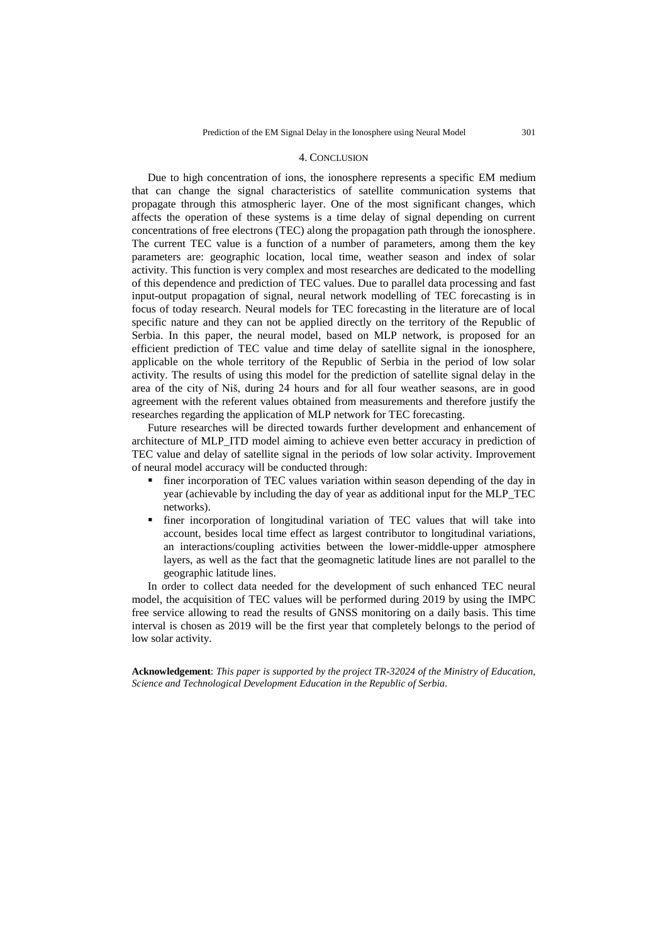#### 4. CONCLUSION

Due to high concentration of ions, the ionosphere represents a specific EM medium that can change the signal characteristics of satellite communication systems that propagate through this atmospheric layer. One of the most significant changes, which affects the operation of these systems is a time delay of signal depending on current concentrations of free electrons (TEC) along the propagation path through the ionosphere. The current TEC value is a function of a number of parameters, among them the key parameters are: geographic location, local time, weather season and index of solar activity. This function is very complex and most researches are dedicated to the modelling of this dependence and prediction of TEC values. Due to parallel data processing and fast input-output propagation of signal, neural network modelling of TEC forecasting is in focus of today research. Neural models for TEC forecasting in the literature are of local specific nature and they can not be applied directly on the territory of the Republic of Serbia. In this paper, the neural model, based on MLP network, is proposed for an efficient prediction of TEC value and time delay of satellite signal in the ionosphere, applicable on the whole territory of the Republic of Serbia in the period of low solar activity. The results of using this model for the prediction of satellite signal delay in the area of the city of Niš, during 24 hours and for all four weather seasons, are in good agreement with the referent values obtained from measurements and therefore justify the researches regarding the application of MLP network for TEC forecasting.

Future researches will be directed towards further development and enhancement of architecture of MLP\_ITD model aiming to achieve even better accuracy in prediction of TEC value and delay of satellite signal in the periods of low solar activity. Improvement of neural model accuracy will be conducted through:

- finer incorporation of TEC values variation within season depending of the day in year (achievable by including the day of year as additional input for the MLP\_TEC networks).
- finer incorporation of longitudinal variation of TEC values that will take into account, besides local time effect as largest contributor to longitudinal variations, an interactions/coupling activities between the lower-middle-upper atmosphere layers, as well as the fact that the geomagnetic latitude lines are not parallel to the geographic latitude lines.

In order to collect data needed for the development of such enhanced TEC neural model, the acquisition of TEC values will be performed during 2019 by using the IMPC free service allowing to read the results of GNSS monitoring on a daily basis. This time interval is chosen as 2019 will be the first year that completely belongs to the period of low solar activity.

**Acknowledgement**: *This paper is supported by the project TR-32024 of the Ministry of Education, Science and Technological Development Education in the Republic of Serbia.*